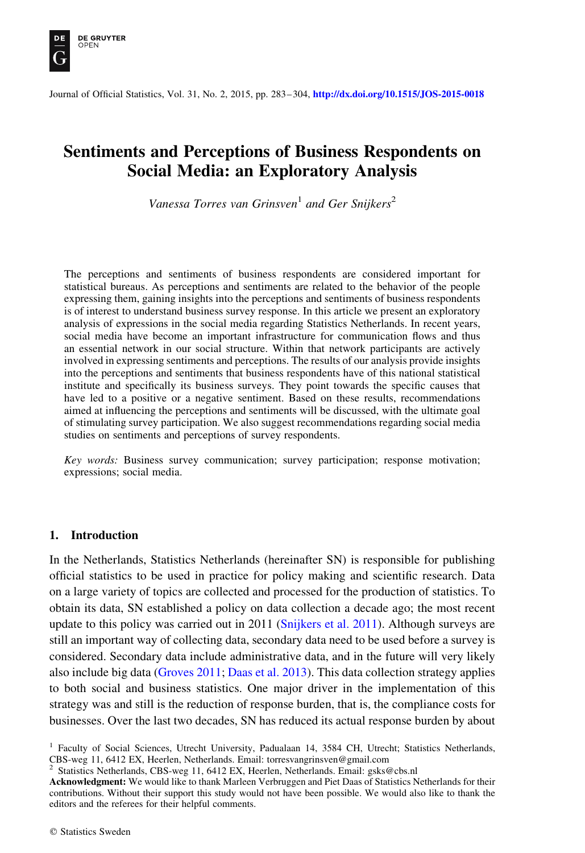

Journal of Official Statistics, Vol. 31, No. 2, 2015, pp. 283–304, <http://dx.doi.org/10.1515/JOS-2015-0018>

# Sentiments and Perceptions of Business Respondents on Social Media: an Exploratory Analysis

Vanessa Torres van Grinsven<sup>1</sup> and Ger Snijkers<sup>2</sup>

The perceptions and sentiments of business respondents are considered important for statistical bureaus. As perceptions and sentiments are related to the behavior of the people expressing them, gaining insights into the perceptions and sentiments of business respondents is of interest to understand business survey response. In this article we present an exploratory analysis of expressions in the social media regarding Statistics Netherlands. In recent years, social media have become an important infrastructure for communication flows and thus an essential network in our social structure. Within that network participants are actively involved in expressing sentiments and perceptions. The results of our analysis provide insights into the perceptions and sentiments that business respondents have of this national statistical institute and specifically its business surveys. They point towards the specific causes that have led to a positive or a negative sentiment. Based on these results, recommendations aimed at influencing the perceptions and sentiments will be discussed, with the ultimate goal of stimulating survey participation. We also suggest recommendations regarding social media studies on sentiments and perceptions of survey respondents.

Key words: Business survey communication; survey participation; response motivation; expressions; social media.

# 1. Introduction

In the Netherlands, Statistics Netherlands (hereinafter SN) is responsible for publishing official statistics to be used in practice for policy making and scientific research. Data on a large variety of topics are collected and processed for the production of statistics. To obtain its data, SN established a policy on data collection a decade ago; the most recent update to this policy was carried out in 2011 (Snijkers et al. 2011). Although surveys are still an important way of collecting data, secondary data need to be used before a survey is considered. Secondary data include administrative data, and in the future will very likely also include big data (Groves 2011; Daas et al. 2013). This data collection strategy applies to both social and business statistics. One major driver in the implementation of this strategy was and still is the reduction of response burden, that is, the compliance costs for businesses. Over the last two decades, SN has reduced its actual response burden by about

<sup>&</sup>lt;sup>1</sup> Faculty of Social Sciences, Utrecht University, Padualaan 14, 3584 CH, Utrecht; Statistics Netherlands, CBS-weg 11, 6412 EX, Heerlen, Netherlands. Email: torresvangrinsven@gmail.com

Statistics Netherlands, CBS-weg 11, 6412 EX, Heerlen, Netherlands. Email: gsks@cbs.nl

Acknowledgment: We would like to thank Marleen Verbruggen and Piet Daas of Statistics Netherlands for their contributions. Without their support this study would not have been possible. We would also like to thank the editors and the referees for their helpful comments.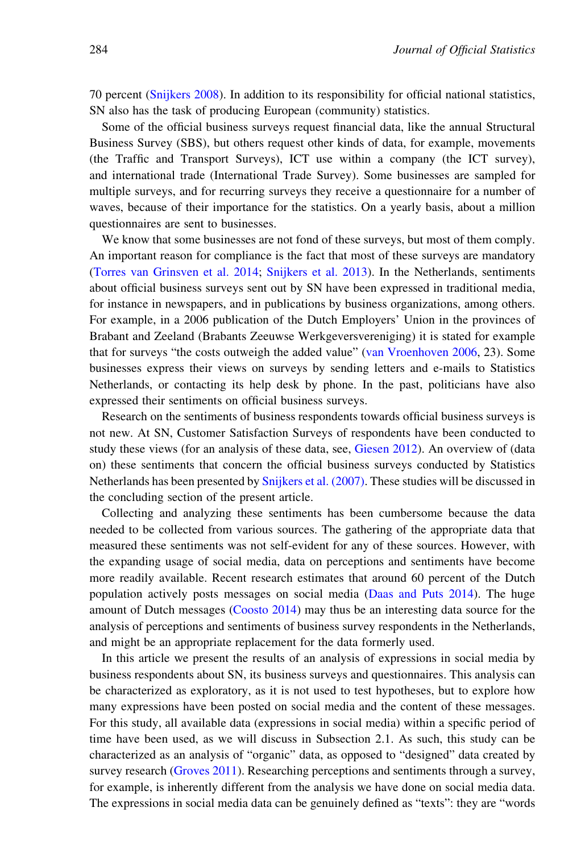70 percent (Snijkers 2008). In addition to its responsibility for official national statistics, SN also has the task of producing European (community) statistics.

Some of the official business surveys request financial data, like the annual Structural Business Survey (SBS), but others request other kinds of data, for example, movements (the Traffic and Transport Surveys), ICT use within a company (the ICT survey), and international trade (International Trade Survey). Some businesses are sampled for multiple surveys, and for recurring surveys they receive a questionnaire for a number of waves, because of their importance for the statistics. On a yearly basis, about a million questionnaires are sent to businesses.

We know that some businesses are not fond of these surveys, but most of them comply. An important reason for compliance is the fact that most of these surveys are mandatory (Torres van Grinsven et al. 2014; Snijkers et al. 2013). In the Netherlands, sentiments about official business surveys sent out by SN have been expressed in traditional media, for instance in newspapers, and in publications by business organizations, among others. For example, in a 2006 publication of the Dutch Employers' Union in the provinces of Brabant and Zeeland (Brabants Zeeuwse Werkgeversvereniging) it is stated for example that for surveys "the costs outweigh the added value" (van Vroenhoven 2006, 23). Some businesses express their views on surveys by sending letters and e-mails to Statistics Netherlands, or contacting its help desk by phone. In the past, politicians have also expressed their sentiments on official business surveys.

Research on the sentiments of business respondents towards official business surveys is not new. At SN, Customer Satisfaction Surveys of respondents have been conducted to study these views (for an analysis of these data, see, Giesen 2012). An overview of (data on) these sentiments that concern the official business surveys conducted by Statistics Netherlands has been presented by Snijkers et al. (2007). These studies will be discussed in the concluding section of the present article.

Collecting and analyzing these sentiments has been cumbersome because the data needed to be collected from various sources. The gathering of the appropriate data that measured these sentiments was not self-evident for any of these sources. However, with the expanding usage of social media, data on perceptions and sentiments have become more readily available. Recent research estimates that around 60 percent of the Dutch population actively posts messages on social media (Daas and Puts 2014). The huge amount of Dutch messages (Coosto 2014) may thus be an interesting data source for the analysis of perceptions and sentiments of business survey respondents in the Netherlands, and might be an appropriate replacement for the data formerly used.

In this article we present the results of an analysis of expressions in social media by business respondents about SN, its business surveys and questionnaires. This analysis can be characterized as exploratory, as it is not used to test hypotheses, but to explore how many expressions have been posted on social media and the content of these messages. For this study, all available data (expressions in social media) within a specific period of time have been used, as we will discuss in Subsection 2.1. As such, this study can be characterized as an analysis of "organic" data, as opposed to "designed" data created by survey research (Groves 2011). Researching perceptions and sentiments through a survey, for example, is inherently different from the analysis we have done on social media data. The expressions in social media data can be genuinely defined as "texts": they are "words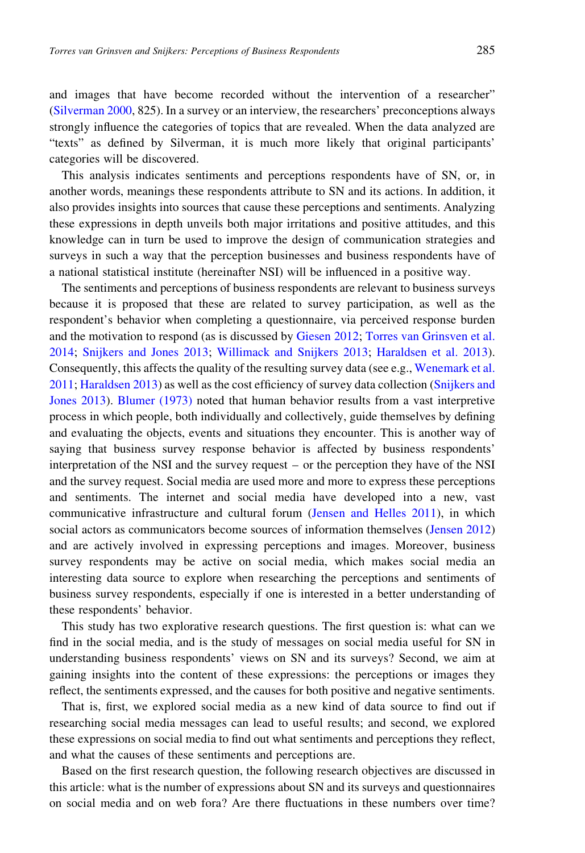and images that have become recorded without the intervention of a researcher" (Silverman 2000, 825). In a survey or an interview, the researchers' preconceptions always strongly influence the categories of topics that are revealed. When the data analyzed are "texts" as defined by Silverman, it is much more likely that original participants' categories will be discovered.

This analysis indicates sentiments and perceptions respondents have of SN, or, in another words, meanings these respondents attribute to SN and its actions. In addition, it also provides insights into sources that cause these perceptions and sentiments. Analyzing these expressions in depth unveils both major irritations and positive attitudes, and this knowledge can in turn be used to improve the design of communication strategies and surveys in such a way that the perception businesses and business respondents have of a national statistical institute (hereinafter NSI) will be influenced in a positive way.

The sentiments and perceptions of business respondents are relevant to business surveys because it is proposed that these are related to survey participation, as well as the respondent's behavior when completing a questionnaire, via perceived response burden and the motivation to respond (as is discussed by Giesen 2012; Torres van Grinsven et al. 2014; Snijkers and Jones 2013; Willimack and Snijkers 2013; Haraldsen et al. 2013). Consequently, this affects the quality of the resulting survey data (see e.g., Wenemark et al. 2011; Haraldsen 2013) as well as the cost efficiency of survey data collection (Snijkers and Jones 2013). Blumer (1973) noted that human behavior results from a vast interpretive process in which people, both individually and collectively, guide themselves by defining and evaluating the objects, events and situations they encounter. This is another way of saying that business survey response behavior is affected by business respondents' interpretation of the NSI and the survey request – or the perception they have of the NSI and the survey request. Social media are used more and more to express these perceptions and sentiments. The internet and social media have developed into a new, vast communicative infrastructure and cultural forum (Jensen and Helles 2011), in which social actors as communicators become sources of information themselves (Jensen 2012) and are actively involved in expressing perceptions and images. Moreover, business survey respondents may be active on social media, which makes social media an interesting data source to explore when researching the perceptions and sentiments of business survey respondents, especially if one is interested in a better understanding of these respondents' behavior.

This study has two explorative research questions. The first question is: what can we find in the social media, and is the study of messages on social media useful for SN in understanding business respondents' views on SN and its surveys? Second, we aim at gaining insights into the content of these expressions: the perceptions or images they reflect, the sentiments expressed, and the causes for both positive and negative sentiments.

That is, first, we explored social media as a new kind of data source to find out if researching social media messages can lead to useful results; and second, we explored these expressions on social media to find out what sentiments and perceptions they reflect, and what the causes of these sentiments and perceptions are.

Based on the first research question, the following research objectives are discussed in this article: what is the number of expressions about SN and its surveys and questionnaires on social media and on web fora? Are there fluctuations in these numbers over time?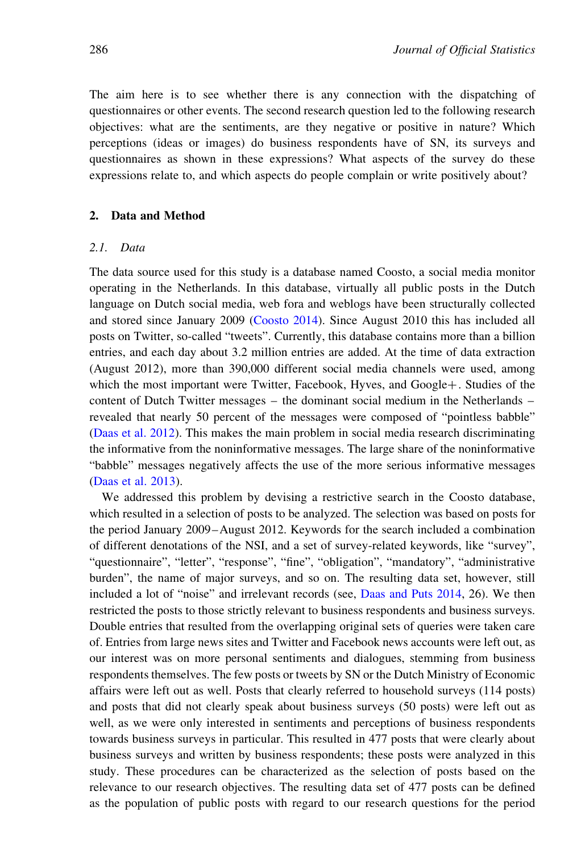The aim here is to see whether there is any connection with the dispatching of questionnaires or other events. The second research question led to the following research objectives: what are the sentiments, are they negative or positive in nature? Which perceptions (ideas or images) do business respondents have of SN, its surveys and questionnaires as shown in these expressions? What aspects of the survey do these expressions relate to, and which aspects do people complain or write positively about?

## 2. Data and Method

# 2.1. Data

The data source used for this study is a database named Coosto, a social media monitor operating in the Netherlands. In this database, virtually all public posts in the Dutch language on Dutch social media, web fora and weblogs have been structurally collected and stored since January 2009 (Coosto 2014). Since August 2010 this has included all posts on Twitter, so-called "tweets". Currently, this database contains more than a billion entries, and each day about 3.2 million entries are added. At the time of data extraction (August 2012), more than 390,000 different social media channels were used, among which the most important were Twitter, Facebook, Hyves, and  $Google+$ . Studies of the content of Dutch Twitter messages – the dominant social medium in the Netherlands – revealed that nearly 50 percent of the messages were composed of "pointless babble" (Daas et al. 2012). This makes the main problem in social media research discriminating the informative from the noninformative messages. The large share of the noninformative "babble" messages negatively affects the use of the more serious informative messages (Daas et al. 2013).

We addressed this problem by devising a restrictive search in the Coosto database, which resulted in a selection of posts to be analyzed. The selection was based on posts for the period January 2009–August 2012. Keywords for the search included a combination of different denotations of the NSI, and a set of survey-related keywords, like "survey", "questionnaire", "letter", "response", "fine", "obligation", "mandatory", "administrative burden", the name of major surveys, and so on. The resulting data set, however, still included a lot of "noise" and irrelevant records (see, Daas and Puts 2014, 26). We then restricted the posts to those strictly relevant to business respondents and business surveys. Double entries that resulted from the overlapping original sets of queries were taken care of. Entries from large news sites and Twitter and Facebook news accounts were left out, as our interest was on more personal sentiments and dialogues, stemming from business respondents themselves. The few posts or tweets by SN or the Dutch Ministry of Economic affairs were left out as well. Posts that clearly referred to household surveys (114 posts) and posts that did not clearly speak about business surveys (50 posts) were left out as well, as we were only interested in sentiments and perceptions of business respondents towards business surveys in particular. This resulted in 477 posts that were clearly about business surveys and written by business respondents; these posts were analyzed in this study. These procedures can be characterized as the selection of posts based on the relevance to our research objectives. The resulting data set of 477 posts can be defined as the population of public posts with regard to our research questions for the period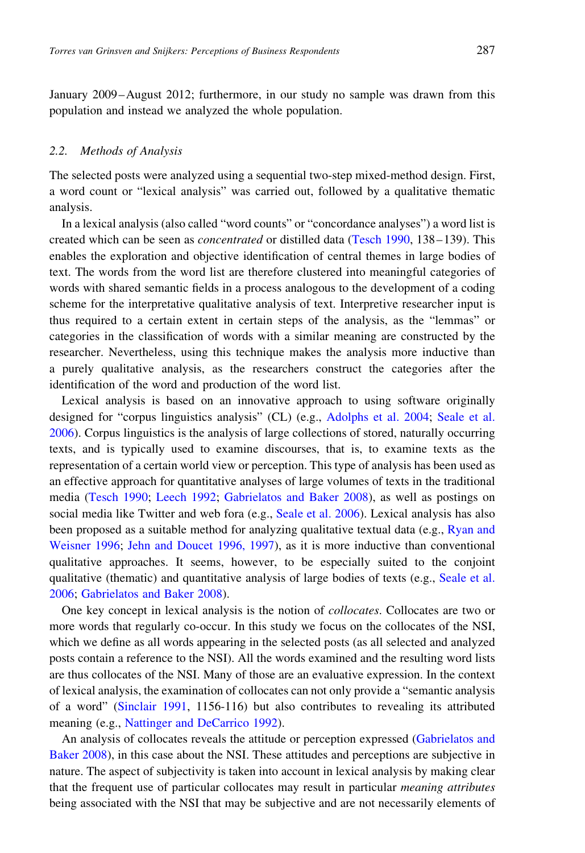January 2009–August 2012; furthermore, in our study no sample was drawn from this population and instead we analyzed the whole population.

#### 2.2. Methods of Analysis

The selected posts were analyzed using a sequential two-step mixed-method design. First, a word count or "lexical analysis" was carried out, followed by a qualitative thematic analysis.

In a lexical analysis (also called "word counts" or "concordance analyses") a word list is created which can be seen as concentrated or distilled data (Tesch 1990, 138–139). This enables the exploration and objective identification of central themes in large bodies of text. The words from the word list are therefore clustered into meaningful categories of words with shared semantic fields in a process analogous to the development of a coding scheme for the interpretative qualitative analysis of text. Interpretive researcher input is thus required to a certain extent in certain steps of the analysis, as the "lemmas" or categories in the classification of words with a similar meaning are constructed by the researcher. Nevertheless, using this technique makes the analysis more inductive than a purely qualitative analysis, as the researchers construct the categories after the identification of the word and production of the word list.

Lexical analysis is based on an innovative approach to using software originally designed for "corpus linguistics analysis" (CL) (e.g., Adolphs et al. 2004; Seale et al. 2006). Corpus linguistics is the analysis of large collections of stored, naturally occurring texts, and is typically used to examine discourses, that is, to examine texts as the representation of a certain world view or perception. This type of analysis has been used as an effective approach for quantitative analyses of large volumes of texts in the traditional media (Tesch 1990; Leech 1992; Gabrielatos and Baker 2008), as well as postings on social media like Twitter and web fora (e.g., Seale et al. 2006). Lexical analysis has also been proposed as a suitable method for analyzing qualitative textual data (e.g., Ryan and Weisner 1996; Jehn and Doucet 1996, 1997), as it is more inductive than conventional qualitative approaches. It seems, however, to be especially suited to the conjoint qualitative (thematic) and quantitative analysis of large bodies of texts (e.g., Seale et al. 2006; Gabrielatos and Baker 2008).

One key concept in lexical analysis is the notion of collocates. Collocates are two or more words that regularly co-occur. In this study we focus on the collocates of the NSI, which we define as all words appearing in the selected posts (as all selected and analyzed posts contain a reference to the NSI). All the words examined and the resulting word lists are thus collocates of the NSI. Many of those are an evaluative expression. In the context of lexical analysis, the examination of collocates can not only provide a "semantic analysis of a word" (Sinclair 1991, 1156-116) but also contributes to revealing its attributed meaning (e.g., Nattinger and DeCarrico 1992).

An analysis of collocates reveals the attitude or perception expressed (Gabrielatos and Baker 2008), in this case about the NSI. These attitudes and perceptions are subjective in nature. The aspect of subjectivity is taken into account in lexical analysis by making clear that the frequent use of particular collocates may result in particular meaning attributes being associated with the NSI that may be subjective and are not necessarily elements of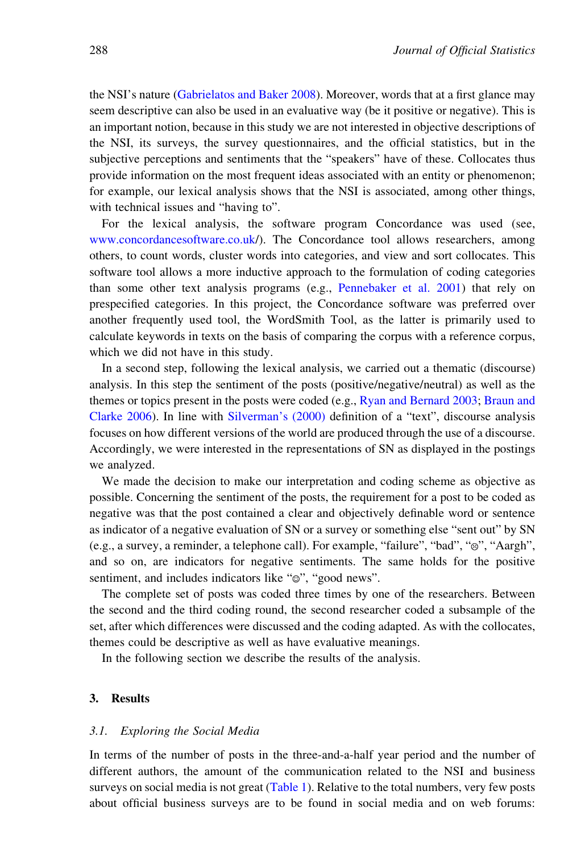the NSI's nature (Gabrielatos and Baker 2008). Moreover, words that at a first glance may seem descriptive can also be used in an evaluative way (be it positive or negative). This is an important notion, because in this study we are not interested in objective descriptions of the NSI, its surveys, the survey questionnaires, and the official statistics, but in the subjective perceptions and sentiments that the "speakers" have of these. Collocates thus provide information on the most frequent ideas associated with an entity or phenomenon; for example, our lexical analysis shows that the NSI is associated, among other things, with technical issues and "having to".

For the lexical analysis, the software program Concordance was used (see, [www.concordancesoftware.co.uk](http://www.concordancesoftware.co.uk)/). The Concordance tool allows researchers, among others, to count words, cluster words into categories, and view and sort collocates. This software tool allows a more inductive approach to the formulation of coding categories than some other text analysis programs (e.g., Pennebaker et al. 2001) that rely on prespecified categories. In this project, the Concordance software was preferred over another frequently used tool, the WordSmith Tool, as the latter is primarily used to calculate keywords in texts on the basis of comparing the corpus with a reference corpus, which we did not have in this study.

In a second step, following the lexical analysis, we carried out a thematic (discourse) analysis. In this step the sentiment of the posts (positive/negative/neutral) as well as the themes or topics present in the posts were coded (e.g., Ryan and Bernard 2003; Braun and Clarke 2006). In line with Silverman's (2000) definition of a "text", discourse analysis focuses on how different versions of the world are produced through the use of a discourse. Accordingly, we were interested in the representations of SN as displayed in the postings we analyzed.

We made the decision to make our interpretation and coding scheme as objective as possible. Concerning the sentiment of the posts, the requirement for a post to be coded as negative was that the post contained a clear and objectively definable word or sentence as indicator of a negative evaluation of SN or a survey or something else "sent out" by SN (e.g., a survey, a reminder, a telephone call). For example, "failure", " $bad$ ", " $\otimes$ ", "Aargh", and so on, are indicators for negative sentiments. The same holds for the positive sentiment, and includes indicators like " $\circ$ ", "good news".

The complete set of posts was coded three times by one of the researchers. Between the second and the third coding round, the second researcher coded a subsample of the set, after which differences were discussed and the coding adapted. As with the collocates, themes could be descriptive as well as have evaluative meanings.

In the following section we describe the results of the analysis.

# 3. Results

#### 3.1. Exploring the Social Media

In terms of the number of posts in the three-and-a-half year period and the number of different authors, the amount of the communication related to the NSI and business surveys on social media is not great (Table 1). Relative to the total numbers, very few posts about official business surveys are to be found in social media and on web forums: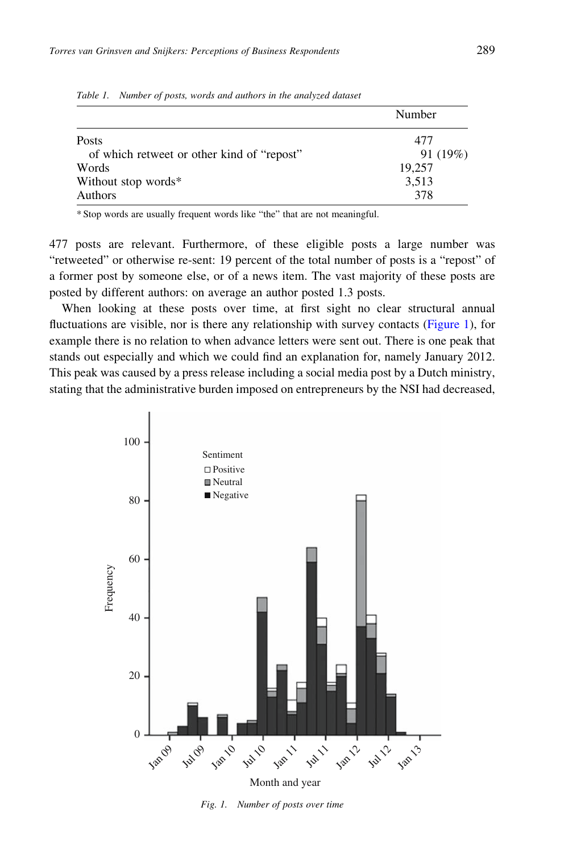|                                            | Number   |
|--------------------------------------------|----------|
| <b>Posts</b>                               | 477      |
| of which retweet or other kind of "repost" | 91 (19%) |
| Words                                      | 19,257   |
| Without stop words*                        | 3,513    |
| Authors                                    | 378      |

Table 1. Number of posts, words and authors in the analyzed dataset

\* Stop words are usually frequent words like "the" that are not meaningful.

477 posts are relevant. Furthermore, of these eligible posts a large number was "retweeted" or otherwise re-sent: 19 percent of the total number of posts is a "repost" of a former post by someone else, or of a news item. The vast majority of these posts are posted by different authors: on average an author posted 1.3 posts.

When looking at these posts over time, at first sight no clear structural annual fluctuations are visible, nor is there any relationship with survey contacts (Figure 1), for example there is no relation to when advance letters were sent out. There is one peak that stands out especially and which we could find an explanation for, namely January 2012. This peak was caused by a press release including a social media post by a Dutch ministry, stating that the administrative burden imposed on entrepreneurs by the NSI had decreased,



Fig. 1. Number of posts over time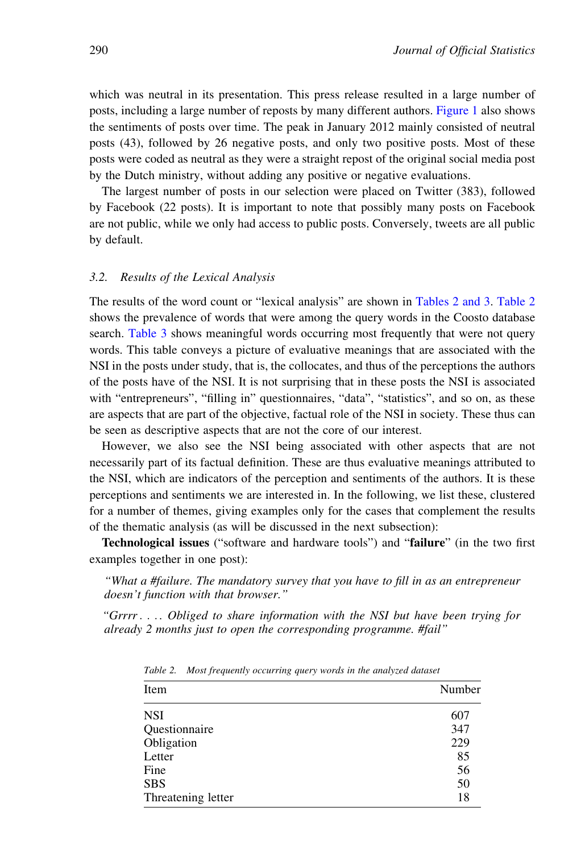which was neutral in its presentation. This press release resulted in a large number of posts, including a large number of reposts by many different authors. Figure 1 also shows the sentiments of posts over time. The peak in January 2012 mainly consisted of neutral posts (43), followed by 26 negative posts, and only two positive posts. Most of these posts were coded as neutral as they were a straight repost of the original social media post by the Dutch ministry, without adding any positive or negative evaluations.

The largest number of posts in our selection were placed on Twitter (383), followed by Facebook (22 posts). It is important to note that possibly many posts on Facebook are not public, while we only had access to public posts. Conversely, tweets are all public by default.

# 3.2. Results of the Lexical Analysis

The results of the word count or "lexical analysis" are shown in Tables 2 and 3. Table 2 shows the prevalence of words that were among the query words in the Coosto database search. Table 3 shows meaningful words occurring most frequently that were not query words. This table conveys a picture of evaluative meanings that are associated with the NSI in the posts under study, that is, the collocates, and thus of the perceptions the authors of the posts have of the NSI. It is not surprising that in these posts the NSI is associated with "entrepreneurs", "filling in" questionnaires, "data", "statistics", and so on, as these are aspects that are part of the objective, factual role of the NSI in society. These thus can be seen as descriptive aspects that are not the core of our interest.

However, we also see the NSI being associated with other aspects that are not necessarily part of its factual definition. These are thus evaluative meanings attributed to the NSI, which are indicators of the perception and sentiments of the authors. It is these perceptions and sentiments we are interested in. In the following, we list these, clustered for a number of themes, giving examples only for the cases that complement the results of the thematic analysis (as will be discussed in the next subsection):

Technological issues ("software and hardware tools") and "failure" (in the two first examples together in one post):

"What a #failure. The mandatory survey that you have to fill in as an entrepreneur doesn't function with that browser."

"Grrrr.... Obliged to share information with the NSI but have been trying for already 2 months just to open the corresponding programme. #fail"

| Item               | Number |
|--------------------|--------|
| <b>NSI</b>         | 607    |
| Questionnaire      | 347    |
| Obligation         | 229    |
| Letter             | 85     |
| Fine               | 56     |
| <b>SBS</b>         | 50     |
| Threatening letter | 18     |

Table 2. Most frequently occurring query words in the analyzed dataset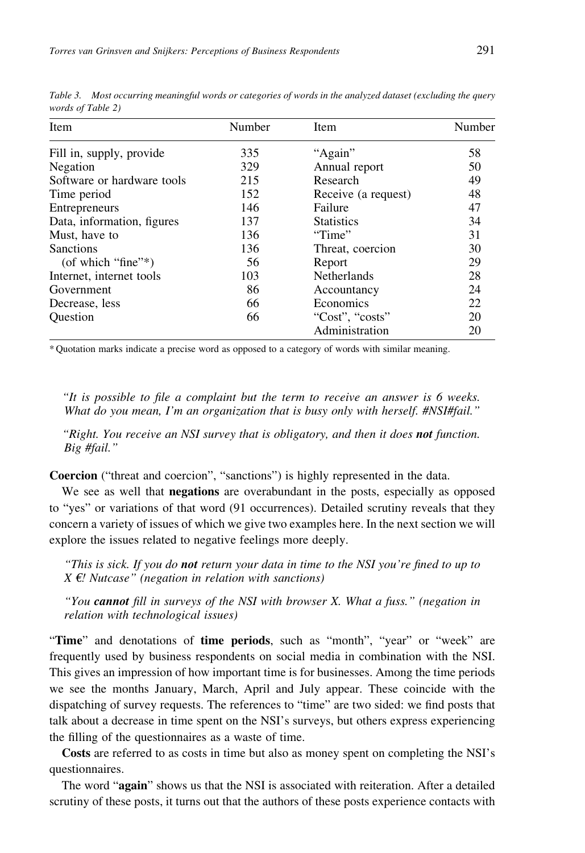| <b>Item</b>                | Number | Item                | Number |
|----------------------------|--------|---------------------|--------|
| Fill in, supply, provide   | 335    | "Again"             | 58     |
| Negation                   | 329    | Annual report       | 50     |
| Software or hardware tools | 215    | Research            | 49     |
| Time period                | 152    | Receive (a request) | 48     |
| Entrepreneurs              | 146    | Failure             | 47     |
| Data, information, figures | 137    | <b>Statistics</b>   | 34     |
| Must, have to              | 136    | "Time"              | 31     |
| <b>Sanctions</b>           | 136    | Threat, coercion    | 30     |
| (of which "fine"*)         | 56     | Report              | 29     |
| Internet, internet tools   | 103    | <b>Netherlands</b>  | 28     |
| Government                 | 86     | Accountancy         | 24     |
| Decrease, less             | 66     | Economics           | 22     |
| <b>Ouestion</b>            | 66     | "Cost", "costs"     | 20     |
|                            |        | Administration      | 20     |

Table 3. Most occurring meaningful words or categories of words in the analyzed dataset (excluding the query words of Table 2)

\* Quotation marks indicate a precise word as opposed to a category of words with similar meaning.

"It is possible to file a complaint but the term to receive an answer is 6 weeks. What do you mean, I'm an organization that is busy only with herself. #NSI#fail."

"Right. You receive an NSI survey that is obligatory, and then it does **not** function. Big #fail."

Coercion ("threat and coercion", "sanctions") is highly represented in the data.

We see as well that **negations** are overabundant in the posts, especially as opposed to "yes" or variations of that word (91 occurrences). Detailed scrutiny reveals that they concern a variety of issues of which we give two examples here. In the next section we will explore the issues related to negative feelings more deeply.

"This is sick. If you do **not** return your data in time to the NSI you're fined to up to  $X \in \mathcal{X}$  Nutcase" (negation in relation with sanctions)

"You cannot fill in surveys of the NSI with browser X. What a fuss." (negation in relation with technological issues)

"Time" and denotations of time periods, such as "month", "year" or "week" are frequently used by business respondents on social media in combination with the NSI. This gives an impression of how important time is for businesses. Among the time periods we see the months January, March, April and July appear. These coincide with the dispatching of survey requests. The references to "time" are two sided: we find posts that talk about a decrease in time spent on the NSI's surveys, but others express experiencing the filling of the questionnaires as a waste of time.

Costs are referred to as costs in time but also as money spent on completing the NSI's questionnaires.

The word "again" shows us that the NSI is associated with reiteration. After a detailed scrutiny of these posts, it turns out that the authors of these posts experience contacts with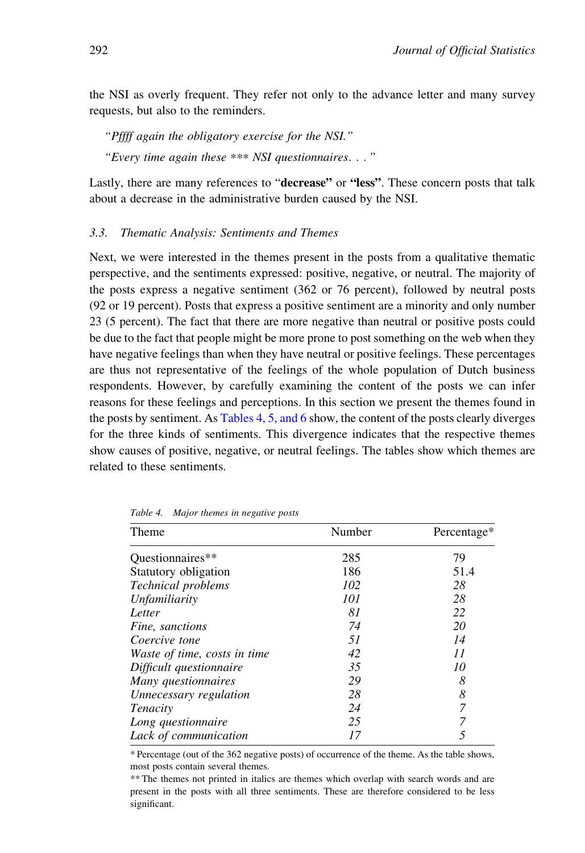the NSI as overly frequent. They refer not only to the advance letter and many survey requests, but also to the reminders.

"Pffff again the obligatory exercise for the NSI." "Every time again these  $***$  NSI questionnaires..."

Lastly, there are many references to "decrease" or "less". These concern posts that talk about a decrease in the administrative burden caused by the NSI.

# 3.3. Thematic Analysis: Sentiments and Themes

Next, we were interested in the themes present in the posts from a qualitative thematic perspective, and the sentiments expressed: positive, negative, or neutral. The majority of the posts express a negative sentiment (362 or 76 percent), followed by neutral posts (92 or 19 percent). Posts that express a positive sentiment are a minority and only number 23 (5 percent). The fact that there are more negative than neutral or positive posts could be due to the fact that people might be more prone to post something on the web when they have negative feelings than when they have neutral or positive feelings. These percentages are thus not representative of the feelings of the whole population of Dutch business respondents. However, by carefully examining the content of the posts we can infer reasons for these feelings and perceptions. In this section we present the themes found in the posts by sentiment. As Tables 4, 5, and 6 show, the content of the posts clearly diverges for the three kinds of sentiments. This divergence indicates that the respective themes show causes of positive, negative, or neutral feelings. The tables show which themes are related to these sentiments.

| Theme                        | Number | Percentage* |
|------------------------------|--------|-------------|
| Questionnaires**             | 285    | 79          |
| Statutory obligation         | 186    | 51.4        |
| Technical problems           | 102    | 28          |
| Unfamiliarity                | 101    | 28          |
| Letter                       | 81     | 22          |
| Fine, sanctions              | 74     | 20          |
| Coercive tone                | 51     | 14          |
| Waste of time, costs in time | 42     | 11          |
| Difficult questionnaire      | 35     | 10          |
| Many questionnaires          | 29     | 8           |
| Unnecessary regulation       | 28     | 8           |
| Tenacity                     | 24     | 7           |
| Long questionnaire           | 25     |             |
| Lack of communication        | 17     | 5           |

Table 4. Major themes in negative posts

\* Percentage (out of the 362 negative posts) of occurrence of the theme. As the table shows, most posts contain several themes.

\*\* The themes not printed in italics are themes which overlap with search words and are present in the posts with all three sentiments. These are therefore considered to be less significant.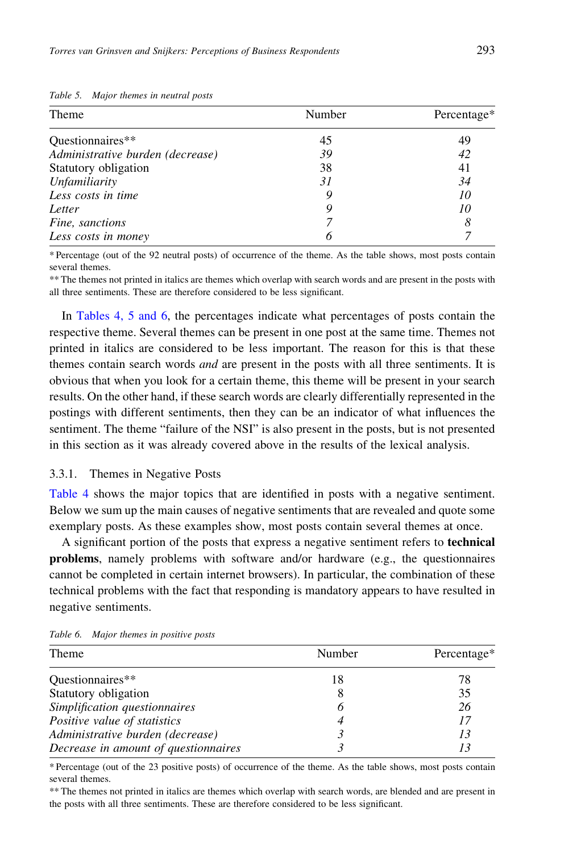| Number | Percentage* |  |  |
|--------|-------------|--|--|
| 45     | 49          |  |  |
| 39     | 42          |  |  |
| 38     | 41          |  |  |
| 31     | 34          |  |  |
|        | 10          |  |  |
|        | 10          |  |  |
|        | 8           |  |  |
|        |             |  |  |
|        |             |  |  |

|  | Table 5. | Major themes in neutral posts |  |
|--|----------|-------------------------------|--|
|--|----------|-------------------------------|--|

\* Percentage (out of the 92 neutral posts) of occurrence of the theme. As the table shows, most posts contain several themes.

\*\* The themes not printed in italics are themes which overlap with search words and are present in the posts with all three sentiments. These are therefore considered to be less significant.

In Tables 4, 5 and 6, the percentages indicate what percentages of posts contain the respective theme. Several themes can be present in one post at the same time. Themes not printed in italics are considered to be less important. The reason for this is that these themes contain search words and are present in the posts with all three sentiments. It is obvious that when you look for a certain theme, this theme will be present in your search results. On the other hand, if these search words are clearly differentially represented in the postings with different sentiments, then they can be an indicator of what influences the sentiment. The theme "failure of the NSI" is also present in the posts, but is not presented in this section as it was already covered above in the results of the lexical analysis.

#### 3.3.1. Themes in Negative Posts

Table 4 shows the major topics that are identified in posts with a negative sentiment. Below we sum up the main causes of negative sentiments that are revealed and quote some exemplary posts. As these examples show, most posts contain several themes at once.

A significant portion of the posts that express a negative sentiment refers to technical problems, namely problems with software and/or hardware (e.g., the questionnaires cannot be completed in certain internet browsers). In particular, the combination of these technical problems with the fact that responding is mandatory appears to have resulted in negative sentiments.

| Theme                                | Number | Percentage* |
|--------------------------------------|--------|-------------|
| Ouestionnaires**                     | 18     | 78          |
| Statutory obligation                 |        | 35          |
| Simplification questionnaires        |        | 26          |
| Positive value of statistics         |        | 17          |
| Administrative burden (decrease)     |        | 13          |
| Decrease in amount of questionnaires |        | 13          |

Table 6. Major themes in positive posts

\* Percentage (out of the 23 positive posts) of occurrence of the theme. As the table shows, most posts contain several themes.

\*\* The themes not printed in italics are themes which overlap with search words, are blended and are present in the posts with all three sentiments. These are therefore considered to be less significant.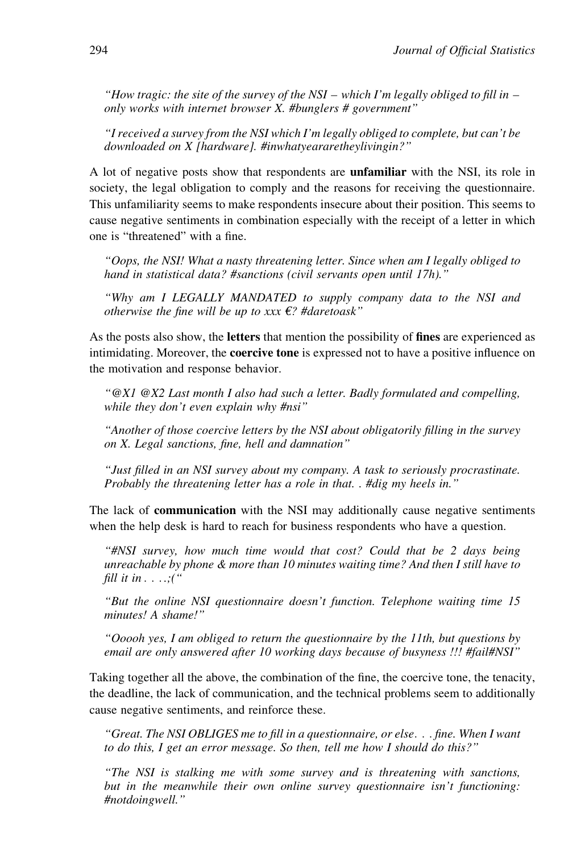"How tragic: the site of the survey of the NSI – which I'm legally obliged to fill in – only works with internet browser X. #bunglers # government"

"I received a survey from the NSI which I'm legally obliged to complete, but can't be downloaded on X [hardware]. #inwhatyeararetheylivingin?"

A lot of negative posts show that respondents are unfamiliar with the NSI, its role in society, the legal obligation to comply and the reasons for receiving the questionnaire. This unfamiliarity seems to make respondents insecure about their position. This seems to cause negative sentiments in combination especially with the receipt of a letter in which one is "threatened" with a fine.

"Oops, the NSI! What a nasty threatening letter. Since when am I legally obliged to hand in statistical data? #sanctions (civil servants open until 17h)."

"Why am I LEGALLY MANDATED to supply company data to the NSI and otherwise the fine will be up to xxx  $\epsilon$ ? #daretoask"

As the posts also show, the letters that mention the possibility of fines are experienced as intimidating. Moreover, the **coercive tone** is expressed not to have a positive influence on the motivation and response behavior.

" $@X1$   $@X2$  Last month I also had such a letter. Badly formulated and compelling, while they don't even explain why #nsi"

"Another of those coercive letters by the NSI about obligatorily filling in the survey on X. Legal sanctions, fine, hell and damnation"

"Just filled in an NSI survey about my company. A task to seriously procrastinate. Probably the threatening letter has a role in that. . #dig my heels in."

The lack of **communication** with the NSI may additionally cause negative sentiments when the help desk is hard to reach for business respondents who have a question.

"#NSI survey, how much time would that cost? Could that be 2 days being unreachable by phone & more than 10 minutes waiting time? And then I still have to fill it in  $\ldots$ ;("

"But the online NSI questionnaire doesn't function. Telephone waiting time 15 minutes! A shame!"

"Ooooh yes, I am obliged to return the questionnaire by the 11th, but questions by email are only answered after 10 working days because of busyness !!! #fail#NSI"

Taking together all the above, the combination of the fine, the coercive tone, the tenacity, the deadline, the lack of communication, and the technical problems seem to additionally cause negative sentiments, and reinforce these.

"Great. The NSI OBLIGES me to fill in a questionnaire, or else.  $\ldots$  fine. When I want to do this, I get an error message. So then, tell me how I should do this?"

"The NSI is stalking me with some survey and is threatening with sanctions, but in the meanwhile their own online survey questionnaire isn't functioning: #notdoingwell."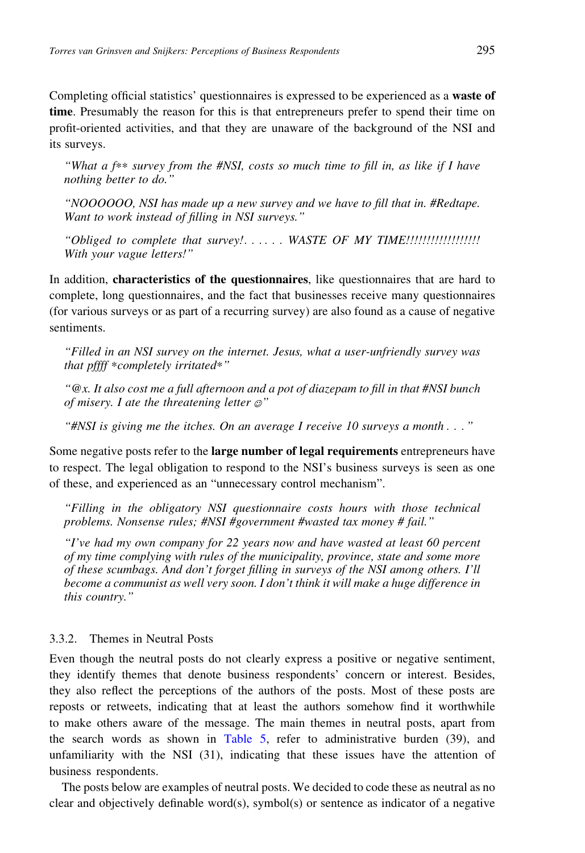Completing official statistics' questionnaires is expressed to be experienced as a waste of time. Presumably the reason for this is that entrepreneurs prefer to spend their time on profit-oriented activities, and that they are unaware of the background of the NSI and its surveys.

"What a  $f**$  survey from the  $HNSI$ , costs so much time to fill in, as like if I have nothing better to do."

"NOOOOOO, NSI has made up a new survey and we have to fill that in. #Redtape. Want to work instead of filling in NSI surveys."

"Obliged to complete that survey!: : :: : : WASTE OF MY TIME!!!!!!!!!!!!!!!!!! With your vague letters!"

In addition, characteristics of the questionnaires, like questionnaires that are hard to complete, long questionnaires, and the fact that businesses receive many questionnaires (for various surveys or as part of a recurring survey) are also found as a cause of negative sentiments.

"Filled in an NSI survey on the internet. Jesus, what a user-unfriendly survey was that pffff \*completely irritated\*"

"@x. It also cost me a full afternoon and a pot of diazepam to fill in that #NSI bunch of misery. I ate the threatening letter  $\odot$ "

"#NSI is giving me the itches. On an average I receive 10 surveys a month  $\ldots$ "

Some negative posts refer to the large number of legal requirements entrepreneurs have to respect. The legal obligation to respond to the NSI's business surveys is seen as one of these, and experienced as an "unnecessary control mechanism".

"Filling in the obligatory NSI questionnaire costs hours with those technical problems. Nonsense rules; #NSI #government #wasted tax money # fail."

"I've had my own company for 22 years now and have wasted at least 60 percent of my time complying with rules of the municipality, province, state and some more of these scumbags. And don't forget filling in surveys of the NSI among others. I'll become a communist as well very soon. I don't think it will make a huge difference in this country."

## 3.3.2. Themes in Neutral Posts

Even though the neutral posts do not clearly express a positive or negative sentiment, they identify themes that denote business respondents' concern or interest. Besides, they also reflect the perceptions of the authors of the posts. Most of these posts are reposts or retweets, indicating that at least the authors somehow find it worthwhile to make others aware of the message. The main themes in neutral posts, apart from the search words as shown in Table 5, refer to administrative burden (39), and unfamiliarity with the NSI (31), indicating that these issues have the attention of business respondents.

The posts below are examples of neutral posts. We decided to code these as neutral as no clear and objectively definable word(s), symbol(s) or sentence as indicator of a negative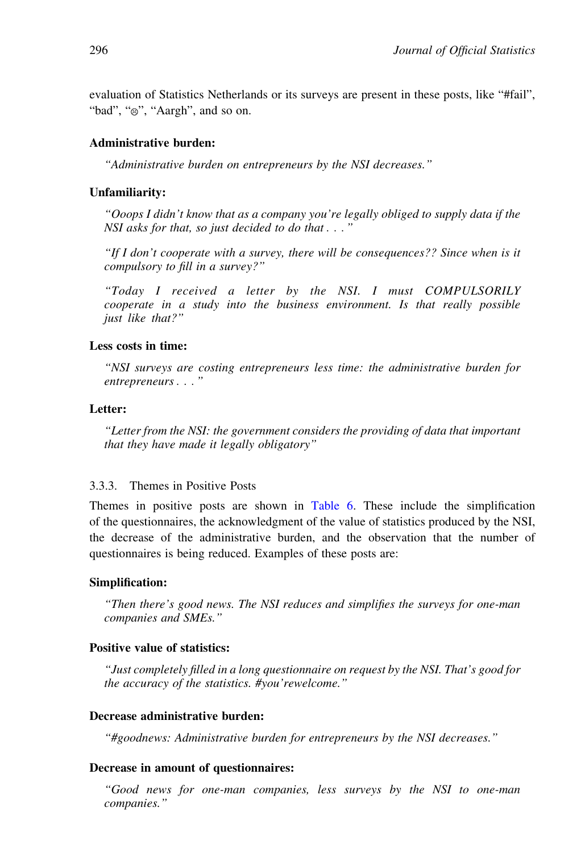evaluation of Statistics Netherlands or its surveys are present in these posts, like "#fail", "bad", " $\otimes$ ", "Aargh", and so on.

# Administrative burden:

"Administrative burden on entrepreneurs by the NSI decreases."

#### Unfamiliarity:

"Ooops I didn't know that as a company you're legally obliged to supply data if the  $NSI$  asks for that, so just decided to do that  $\ldots$ "

"If I don't cooperate with a survey, there will be consequences?? Since when is it compulsory to fill in a survey?"

"Today I received a letter by the NSI. I must COMPULSORILY cooperate in a study into the business environment. Is that really possible just like that?"

## Less costs in time:

"NSI surveys are costing entrepreneurs less time: the administrative burden for entrepreneurs..."

# Letter:

"Letter from the NSI: the government considers the providing of data that important that they have made it legally obligatory"

# 3.3.3. Themes in Positive Posts

Themes in positive posts are shown in Table 6. These include the simplification of the questionnaires, the acknowledgment of the value of statistics produced by the NSI, the decrease of the administrative burden, and the observation that the number of questionnaires is being reduced. Examples of these posts are:

# Simplification:

"Then there's good news. The NSI reduces and simplifies the surveys for one-man companies and SMEs."

# Positive value of statistics:

"Just completely filled in a long questionnaire on request by the NSI. That's good for the accuracy of the statistics. #you'rewelcome."

# Decrease administrative burden:

"#goodnews: Administrative burden for entrepreneurs by the NSI decreases."

# Decrease in amount of questionnaires:

"Good news for one-man companies, less surveys by the NSI to one-man companies."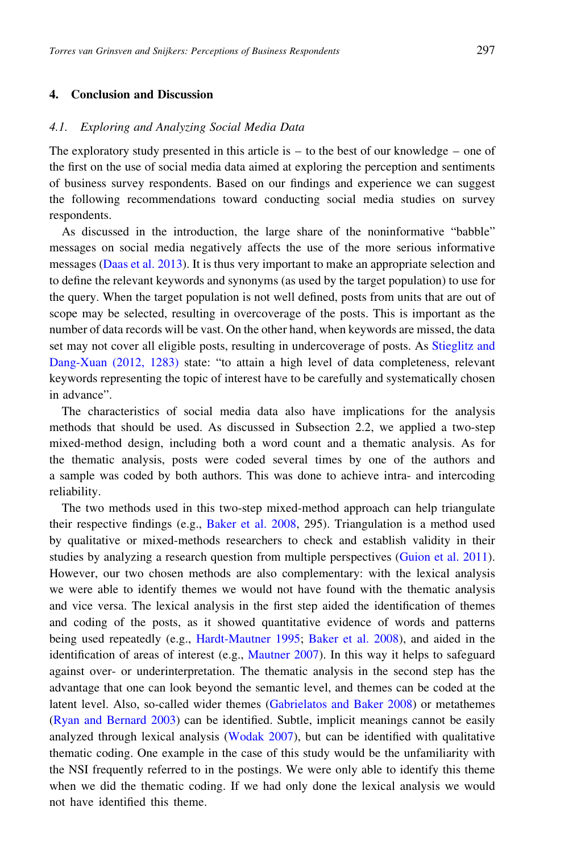## 4. Conclusion and Discussion

#### 4.1. Exploring and Analyzing Social Media Data

The exploratory study presented in this article is  $-$  to the best of our knowledge  $-$  one of the first on the use of social media data aimed at exploring the perception and sentiments of business survey respondents. Based on our findings and experience we can suggest the following recommendations toward conducting social media studies on survey respondents.

As discussed in the introduction, the large share of the noninformative "babble" messages on social media negatively affects the use of the more serious informative messages (Daas et al. 2013). It is thus very important to make an appropriate selection and to define the relevant keywords and synonyms (as used by the target population) to use for the query. When the target population is not well defined, posts from units that are out of scope may be selected, resulting in overcoverage of the posts. This is important as the number of data records will be vast. On the other hand, when keywords are missed, the data set may not cover all eligible posts, resulting in undercoverage of posts. As Stieglitz and Dang-Xuan (2012, 1283) state: "to attain a high level of data completeness, relevant keywords representing the topic of interest have to be carefully and systematically chosen in advance".

The characteristics of social media data also have implications for the analysis methods that should be used. As discussed in Subsection 2.2, we applied a two-step mixed-method design, including both a word count and a thematic analysis. As for the thematic analysis, posts were coded several times by one of the authors and a sample was coded by both authors. This was done to achieve intra- and intercoding reliability.

The two methods used in this two-step mixed-method approach can help triangulate their respective findings (e.g., Baker et al. 2008, 295). Triangulation is a method used by qualitative or mixed-methods researchers to check and establish validity in their studies by analyzing a research question from multiple perspectives (Guion et al. 2011). However, our two chosen methods are also complementary: with the lexical analysis we were able to identify themes we would not have found with the thematic analysis and vice versa. The lexical analysis in the first step aided the identification of themes and coding of the posts, as it showed quantitative evidence of words and patterns being used repeatedly (e.g., Hardt-Mautner 1995; Baker et al. 2008), and aided in the identification of areas of interest (e.g., Mautner 2007). In this way it helps to safeguard against over- or underinterpretation. The thematic analysis in the second step has the advantage that one can look beyond the semantic level, and themes can be coded at the latent level. Also, so-called wider themes (Gabrielatos and Baker 2008) or metathemes (Ryan and Bernard 2003) can be identified. Subtle, implicit meanings cannot be easily analyzed through lexical analysis (Wodak 2007), but can be identified with qualitative thematic coding. One example in the case of this study would be the unfamiliarity with the NSI frequently referred to in the postings. We were only able to identify this theme when we did the thematic coding. If we had only done the lexical analysis we would not have identified this theme.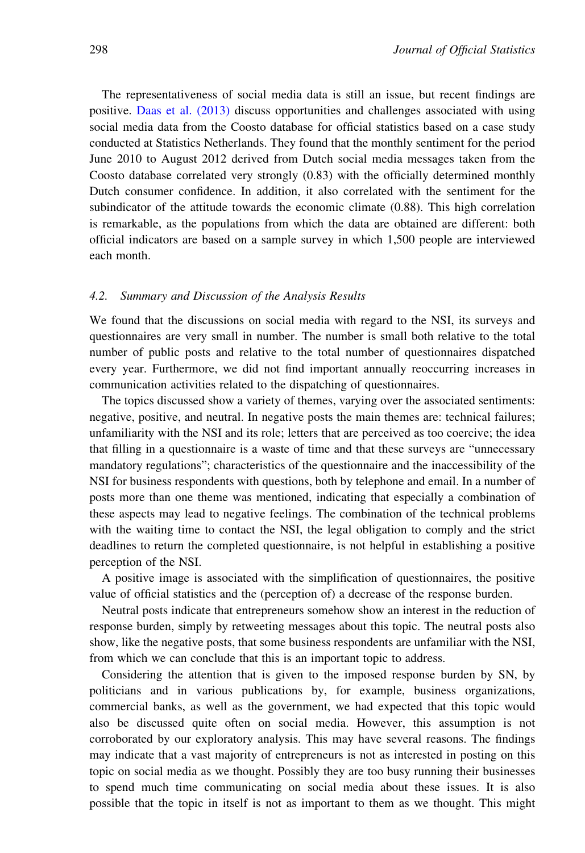The representativeness of social media data is still an issue, but recent findings are positive. Daas et al. (2013) discuss opportunities and challenges associated with using social media data from the Coosto database for official statistics based on a case study conducted at Statistics Netherlands. They found that the monthly sentiment for the period June 2010 to August 2012 derived from Dutch social media messages taken from the Coosto database correlated very strongly (0.83) with the officially determined monthly Dutch consumer confidence. In addition, it also correlated with the sentiment for the subindicator of the attitude towards the economic climate (0.88). This high correlation is remarkable, as the populations from which the data are obtained are different: both official indicators are based on a sample survey in which 1,500 people are interviewed each month.

#### 4.2. Summary and Discussion of the Analysis Results

We found that the discussions on social media with regard to the NSI, its surveys and questionnaires are very small in number. The number is small both relative to the total number of public posts and relative to the total number of questionnaires dispatched every year. Furthermore, we did not find important annually reoccurring increases in communication activities related to the dispatching of questionnaires.

The topics discussed show a variety of themes, varying over the associated sentiments: negative, positive, and neutral. In negative posts the main themes are: technical failures; unfamiliarity with the NSI and its role; letters that are perceived as too coercive; the idea that filling in a questionnaire is a waste of time and that these surveys are "unnecessary mandatory regulations"; characteristics of the questionnaire and the inaccessibility of the NSI for business respondents with questions, both by telephone and email. In a number of posts more than one theme was mentioned, indicating that especially a combination of these aspects may lead to negative feelings. The combination of the technical problems with the waiting time to contact the NSI, the legal obligation to comply and the strict deadlines to return the completed questionnaire, is not helpful in establishing a positive perception of the NSI.

A positive image is associated with the simplification of questionnaires, the positive value of official statistics and the (perception of) a decrease of the response burden.

Neutral posts indicate that entrepreneurs somehow show an interest in the reduction of response burden, simply by retweeting messages about this topic. The neutral posts also show, like the negative posts, that some business respondents are unfamiliar with the NSI, from which we can conclude that this is an important topic to address.

Considering the attention that is given to the imposed response burden by SN, by politicians and in various publications by, for example, business organizations, commercial banks, as well as the government, we had expected that this topic would also be discussed quite often on social media. However, this assumption is not corroborated by our exploratory analysis. This may have several reasons. The findings may indicate that a vast majority of entrepreneurs is not as interested in posting on this topic on social media as we thought. Possibly they are too busy running their businesses to spend much time communicating on social media about these issues. It is also possible that the topic in itself is not as important to them as we thought. This might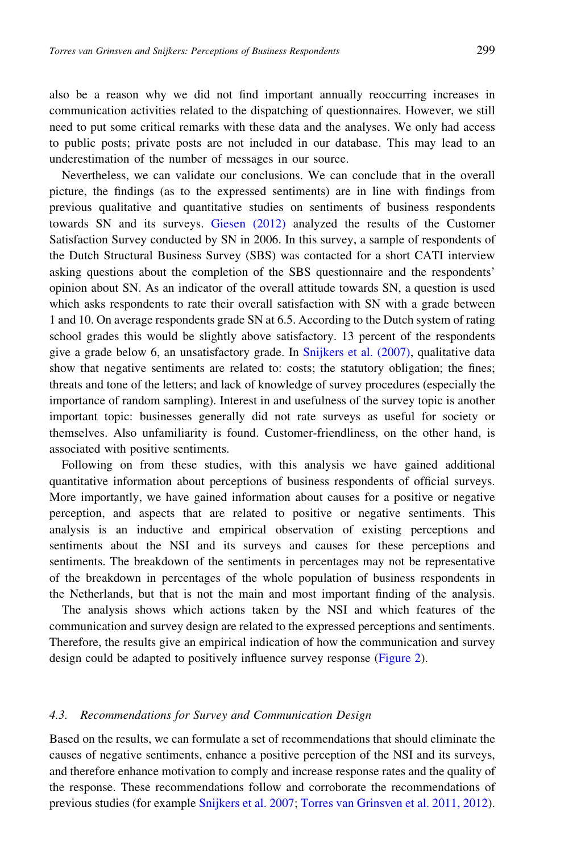also be a reason why we did not find important annually reoccurring increases in communication activities related to the dispatching of questionnaires. However, we still need to put some critical remarks with these data and the analyses. We only had access to public posts; private posts are not included in our database. This may lead to an underestimation of the number of messages in our source.

Nevertheless, we can validate our conclusions. We can conclude that in the overall picture, the findings (as to the expressed sentiments) are in line with findings from previous qualitative and quantitative studies on sentiments of business respondents towards SN and its surveys. Giesen (2012) analyzed the results of the Customer Satisfaction Survey conducted by SN in 2006. In this survey, a sample of respondents of the Dutch Structural Business Survey (SBS) was contacted for a short CATI interview asking questions about the completion of the SBS questionnaire and the respondents' opinion about SN. As an indicator of the overall attitude towards SN, a question is used which asks respondents to rate their overall satisfaction with SN with a grade between 1 and 10. On average respondents grade SN at 6.5. According to the Dutch system of rating school grades this would be slightly above satisfactory. 13 percent of the respondents give a grade below 6, an unsatisfactory grade. In Snijkers et al. (2007), qualitative data show that negative sentiments are related to: costs; the statutory obligation; the fines; threats and tone of the letters; and lack of knowledge of survey procedures (especially the importance of random sampling). Interest in and usefulness of the survey topic is another important topic: businesses generally did not rate surveys as useful for society or themselves. Also unfamiliarity is found. Customer-friendliness, on the other hand, is associated with positive sentiments.

Following on from these studies, with this analysis we have gained additional quantitative information about perceptions of business respondents of official surveys. More importantly, we have gained information about causes for a positive or negative perception, and aspects that are related to positive or negative sentiments. This analysis is an inductive and empirical observation of existing perceptions and sentiments about the NSI and its surveys and causes for these perceptions and sentiments. The breakdown of the sentiments in percentages may not be representative of the breakdown in percentages of the whole population of business respondents in the Netherlands, but that is not the main and most important finding of the analysis.

The analysis shows which actions taken by the NSI and which features of the communication and survey design are related to the expressed perceptions and sentiments. Therefore, the results give an empirical indication of how the communication and survey design could be adapted to positively influence survey response (Figure 2).

## 4.3. Recommendations for Survey and Communication Design

Based on the results, we can formulate a set of recommendations that should eliminate the causes of negative sentiments, enhance a positive perception of the NSI and its surveys, and therefore enhance motivation to comply and increase response rates and the quality of the response. These recommendations follow and corroborate the recommendations of previous studies (for example Snijkers et al. 2007; Torres van Grinsven et al. 2011, 2012).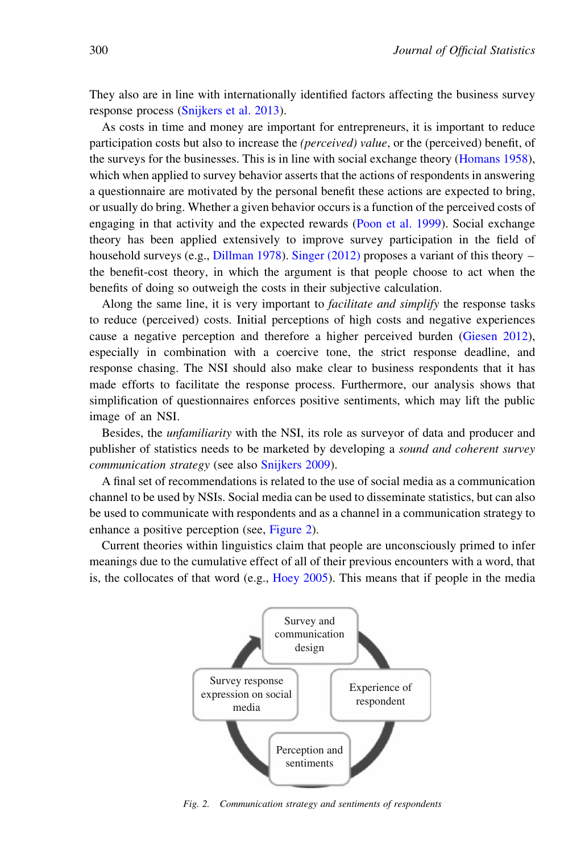They also are in line with internationally identified factors affecting the business survey response process (Snijkers et al. 2013).

As costs in time and money are important for entrepreneurs, it is important to reduce participation costs but also to increase the (perceived) value, or the (perceived) benefit, of the surveys for the businesses. This is in line with social exchange theory (Homans 1958), which when applied to survey behavior asserts that the actions of respondents in answering a questionnaire are motivated by the personal benefit these actions are expected to bring, or usually do bring. Whether a given behavior occurs is a function of the perceived costs of engaging in that activity and the expected rewards (Poon et al. 1999). Social exchange theory has been applied extensively to improve survey participation in the field of household surveys (e.g., Dillman 1978). Singer (2012) proposes a variant of this theory the benefit-cost theory, in which the argument is that people choose to act when the benefits of doing so outweigh the costs in their subjective calculation.

Along the same line, it is very important to *facilitate and simplify* the response tasks to reduce (perceived) costs. Initial perceptions of high costs and negative experiences cause a negative perception and therefore a higher perceived burden (Giesen 2012), especially in combination with a coercive tone, the strict response deadline, and response chasing. The NSI should also make clear to business respondents that it has made efforts to facilitate the response process. Furthermore, our analysis shows that simplification of questionnaires enforces positive sentiments, which may lift the public image of an NSI.

Besides, the unfamiliarity with the NSI, its role as surveyor of data and producer and publisher of statistics needs to be marketed by developing a sound and coherent survey communication strategy (see also Snijkers 2009).

A final set of recommendations is related to the use of social media as a communication channel to be used by NSIs. Social media can be used to disseminate statistics, but can also be used to communicate with respondents and as a channel in a communication strategy to enhance a positive perception (see, Figure 2).

Current theories within linguistics claim that people are unconsciously primed to infer meanings due to the cumulative effect of all of their previous encounters with a word, that is, the collocates of that word (e.g., Hoey 2005). This means that if people in the media



Fig. 2. Communication strategy and sentiments of respondents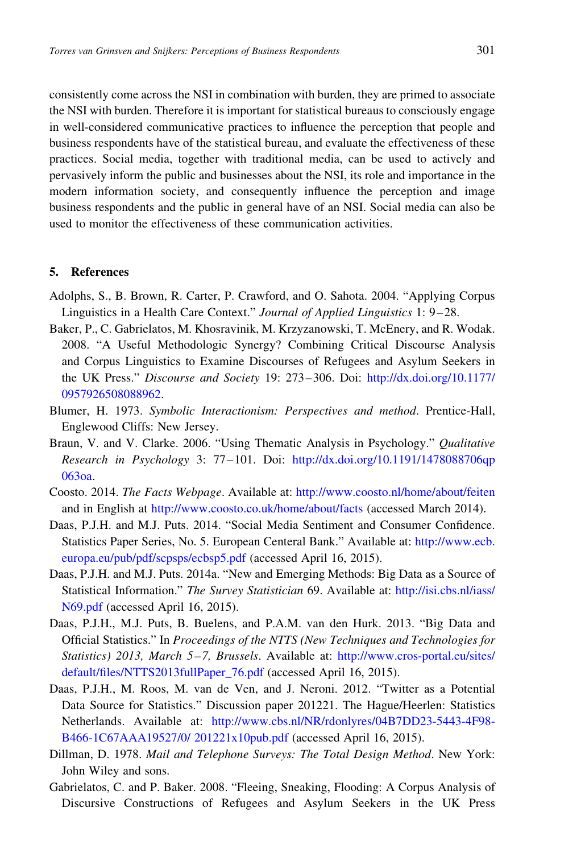consistently come across the NSI in combination with burden, they are primed to associate the NSI with burden. Therefore it is important for statistical bureaus to consciously engage in well-considered communicative practices to influence the perception that people and business respondents have of the statistical bureau, and evaluate the effectiveness of these practices. Social media, together with traditional media, can be used to actively and pervasively inform the public and businesses about the NSI, its role and importance in the modern information society, and consequently influence the perception and image business respondents and the public in general have of an NSI. Social media can also be used to monitor the effectiveness of these communication activities.

#### 5. References

- Adolphs, S., B. Brown, R. Carter, P. Crawford, and O. Sahota. 2004. "Applying Corpus Linguistics in a Health Care Context." Journal of Applied Linguistics 1: 9–28.
- Baker, P., C. Gabrielatos, M. Khosravinik, M. Krzyzanowski, T. McEnery, and R. Wodak. 2008. "A Useful Methodologic Synergy? Combining Critical Discourse Analysis and Corpus Linguistics to Examine Discourses of Refugees and Asylum Seekers in the UK Press." Discourse and Society 19: 273–306. Doi: [http://dx.doi.org/10.1177/](http://dx.doi.org/10.1177/0957926508088962) [0957926508088962](http://dx.doi.org/10.1177/0957926508088962).
- Blumer, H. 1973. Symbolic Interactionism: Perspectives and method. Prentice-Hall, Englewood Cliffs: New Jersey.
- Braun, V. and V. Clarke. 2006. "Using Thematic Analysis in Psychology." Qualitative Research in Psychology 3: 77–101. Doi: [http://dx.doi.org/10.1191/1478088706qp](http://dx.doi.org/10.1191/1478088706qp063oa) [063oa](http://dx.doi.org/10.1191/1478088706qp063oa).
- Coosto. 2014. The Facts Webpage. Available at: <http://www.coosto.nl/home/about/feiten> and in English at <http://www.coosto.co.uk/home/about/facts> (accessed March 2014).
- Daas, P.J.H. and M.J. Puts. 2014. "Social Media Sentiment and Consumer Confidence. Statistics Paper Series, No. 5. European Centeral Bank." Available at: [http://www.ecb.](http://www.ecb.europa.eu/pub/pdf/scpsps/ecbsp5.pdf) [europa.eu/pub/pdf/scpsps/ecbsp5.pdf](http://www.ecb.europa.eu/pub/pdf/scpsps/ecbsp5.pdf) (accessed April 16, 2015).
- Daas, P.J.H. and M.J. Puts. 2014a. "New and Emerging Methods: Big Data as a Source of Statistical Information." The Survey Statistician 69. Available at: [http://isi.cbs.nl/iass/](http://isi.cbs.nl/iass/N69.pdf) [N69.pdf](http://isi.cbs.nl/iass/N69.pdf) (accessed April 16, 2015).
- Daas, P.J.H., M.J. Puts, B. Buelens, and P.A.M. van den Hurk. 2013. "Big Data and Official Statistics." In Proceedings of the NTTS (New Techniques and Technologies for Statistics) 2013, March 5–7, Brussels. Available at: [http://www.cros-portal.eu/sites/](http://www.cros-portal.eu/sites/default/files/NTTS2013fullPaper_76.pdf) [default/files/NTTS2013fullPaper\\_76.pdf](http://www.cros-portal.eu/sites/default/files/NTTS2013fullPaper_76.pdf) (accessed April 16, 2015).
- Daas, P.J.H., M. Roos, M. van de Ven, and J. Neroni. 2012. "Twitter as a Potential Data Source for Statistics." Discussion paper 201221. The Hague/Heerlen: Statistics Netherlands. Available at: [http://www.cbs.nl/NR/rdonlyres/04B7DD23-5443-4F98-](http://www.cbs.nl/NR/rdonlyres/04B7DD23-5443-4F98-B466-1C67AAA19527/0/201221x10pub.pdf) [B466-1C67AAA19527/0/ 201221x10pub.pdf](http://www.cbs.nl/NR/rdonlyres/04B7DD23-5443-4F98-B466-1C67AAA19527/0/201221x10pub.pdf) (accessed April 16, 2015).
- Dillman, D. 1978. Mail and Telephone Surveys: The Total Design Method. New York: John Wiley and sons.
- Gabrielatos, C. and P. Baker. 2008. "Fleeing, Sneaking, Flooding: A Corpus Analysis of Discursive Constructions of Refugees and Asylum Seekers in the UK Press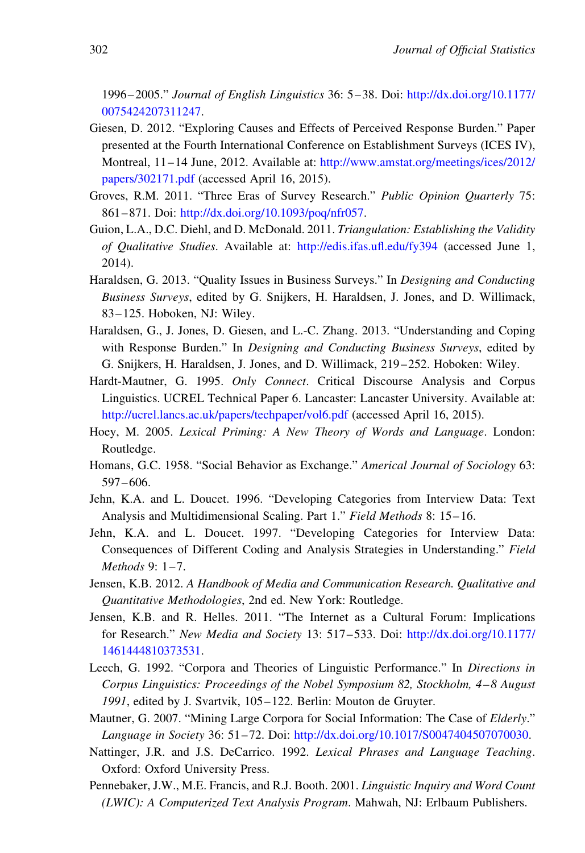1996–2005." Journal of English Linguistics 36: 5–38. Doi: [http://dx.doi.org/10.1177/](http://dx.doi.org/10.1177/0075424207311247) [0075424207311247.](http://dx.doi.org/10.1177/0075424207311247)

- Giesen, D. 2012. "Exploring Causes and Effects of Perceived Response Burden." Paper presented at the Fourth International Conference on Establishment Surveys (ICES IV), Montreal, 11–14 June, 2012. Available at: [http://www.amstat.org/meetings/ices/2012/](http://www.amstat.org/meetings/ices/2012/papers/302171.pdf) [papers/302171.pdf](http://www.amstat.org/meetings/ices/2012/papers/302171.pdf) (accessed April 16, 2015).
- Groves, R.M. 2011. "Three Eras of Survey Research." Public Opinion Quarterly 75: 861–871. Doi: [http://dx.doi.org/10.1093/poq/nfr057.](http://dx.doi.org/10.1093/poq/nfr057)
- Guion, L.A., D.C. Diehl, and D. McDonald. 2011. Triangulation: Establishing the Validity of Qualitative Studies. Available at: <http://edis.ifas.ufl.edu/fy394> (accessed June 1, 2014).
- Haraldsen, G. 2013. "Quality Issues in Business Surveys." In *Designing and Conducting* Business Surveys, edited by G. Snijkers, H. Haraldsen, J. Jones, and D. Willimack, 83–125. Hoboken, NJ: Wiley.
- Haraldsen, G., J. Jones, D. Giesen, and L.-C. Zhang. 2013. "Understanding and Coping with Response Burden." In *Designing and Conducting Business Surveys*, edited by G. Snijkers, H. Haraldsen, J. Jones, and D. Willimack, 219–252. Hoboken: Wiley.
- Hardt-Mautner, G. 1995. Only Connect. Critical Discourse Analysis and Corpus Linguistics. UCREL Technical Paper 6. Lancaster: Lancaster University. Available at: <http://ucrel.lancs.ac.uk/papers/techpaper/vol6.pdf> (accessed April 16, 2015).
- Hoey, M. 2005. Lexical Priming: A New Theory of Words and Language. London: Routledge.
- Homans, G.C. 1958. "Social Behavior as Exchange." Americal Journal of Sociology 63: 597–606.
- Jehn, K.A. and L. Doucet. 1996. "Developing Categories from Interview Data: Text Analysis and Multidimensional Scaling. Part 1." Field Methods 8: 15–16.
- Jehn, K.A. and L. Doucet. 1997. "Developing Categories for Interview Data: Consequences of Different Coding and Analysis Strategies in Understanding." Field Methods 9: 1–7.
- Jensen, K.B. 2012. A Handbook of Media and Communication Research. Qualitative and Quantitative Methodologies, 2nd ed. New York: Routledge.
- Jensen, K.B. and R. Helles. 2011. "The Internet as a Cultural Forum: Implications for Research." New Media and Society 13: 517–533. Doi: [http://dx.doi.org/10.1177/](http://dx.doi.org/10.1177/1461444810373531) [1461444810373531.](http://dx.doi.org/10.1177/1461444810373531)
- Leech, G. 1992. "Corpora and Theories of Linguistic Performance." In Directions in Corpus Linguistics: Proceedings of the Nobel Symposium 82, Stockholm, 4–8 August 1991, edited by J. Svartvik, 105–122. Berlin: Mouton de Gruyter.
- Mautner, G. 2007. "Mining Large Corpora for Social Information: The Case of *Elderly*." Language in Society 36: 51–72. Doi: <http://dx.doi.org/10.1017/S0047404507070030>.
- Nattinger, J.R. and J.S. DeCarrico. 1992. Lexical Phrases and Language Teaching. Oxford: Oxford University Press.
- Pennebaker, J.W., M.E. Francis, and R.J. Booth. 2001. Linguistic Inquiry and Word Count (LWIC): A Computerized Text Analysis Program. Mahwah, NJ: Erlbaum Publishers.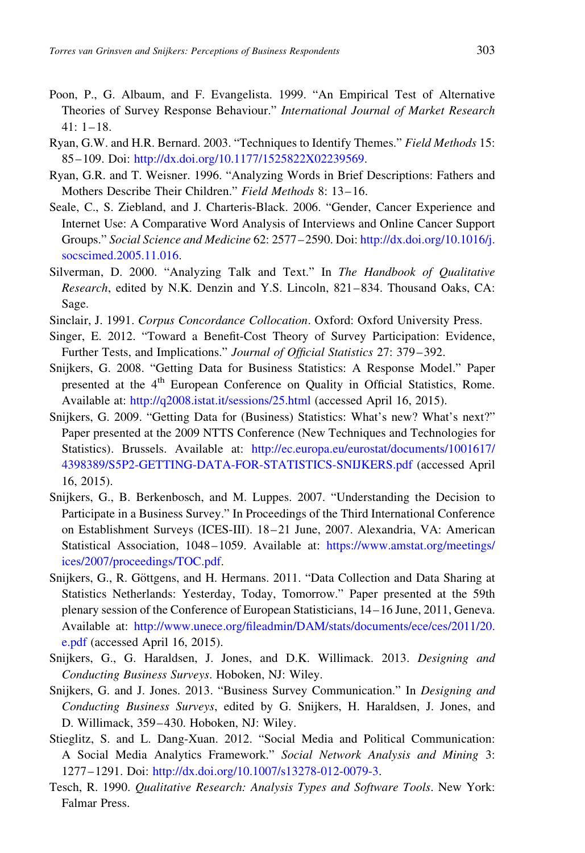- Poon, P., G. Albaum, and F. Evangelista. 1999. "An Empirical Test of Alternative Theories of Survey Response Behaviour." International Journal of Market Research 41: 1–18.
- Ryan, G.W. and H.R. Bernard. 2003. "Techniques to Identify Themes." Field Methods 15: 85–109. Doi: <http://dx.doi.org/10.1177/1525822X02239569>.
- Ryan, G.R. and T. Weisner. 1996. "Analyzing Words in Brief Descriptions: Fathers and Mothers Describe Their Children." Field Methods 8: 13–16.
- Seale, C., S. Ziebland, and J. Charteris-Black. 2006. "Gender, Cancer Experience and Internet Use: A Comparative Word Analysis of Interviews and Online Cancer Support Groups." Social Science and Medicine 62: 2577–2590. Doi: [http://dx.doi.org/10.1016/j.](http://dx.doi.org/10.1016/j.socscimed.2005.11.016) [socscimed.2005.11.016.](http://dx.doi.org/10.1016/j.socscimed.2005.11.016)
- Silverman, D. 2000. "Analyzing Talk and Text." In The Handbook of Qualitative Research, edited by N.K. Denzin and Y.S. Lincoln, 821–834. Thousand Oaks, CA: Sage.
- Sinclair, J. 1991. Corpus Concordance Collocation. Oxford: Oxford University Press.
- Singer, E. 2012. "Toward a Benefit-Cost Theory of Survey Participation: Evidence, Further Tests, and Implications." Journal of Official Statistics 27: 379–392.
- Snijkers, G. 2008. "Getting Data for Business Statistics: A Response Model." Paper presented at the 4<sup>th</sup> European Conference on Quality in Official Statistics, Rome. Available at: <http://q2008.istat.it/sessions/25.html> (accessed April 16, 2015).
- Snijkers, G. 2009. "Getting Data for (Business) Statistics: What's new? What's next?" Paper presented at the 2009 NTTS Conference (New Techniques and Technologies for Statistics). Brussels. Available at: [http://ec.europa.eu/eurostat/documents/1001617/](http://ec.europa.eu/eurostat/documents/1001617/4398389/S5P2-GETTING-DATA-FOR-STATISTICS-SNIJKERS.pdf) [4398389/S5P2-GETTING-DATA-FOR-STATISTICS-SNIJKERS.pdf](http://ec.europa.eu/eurostat/documents/1001617/4398389/S5P2-GETTING-DATA-FOR-STATISTICS-SNIJKERS.pdf) (accessed April 16, 2015).
- Snijkers, G., B. Berkenbosch, and M. Luppes. 2007. "Understanding the Decision to Participate in a Business Survey." In Proceedings of the Third International Conference on Establishment Surveys (ICES-III). 18–21 June, 2007. Alexandria, VA: American Statistical Association, 1048–1059. Available at: [https://www.amstat.org/meetings/](https://www.amstat.org/meetings/ices/2007/proceedings/TOC.pdf) [ices/2007/proceedings/TOC.pdf.](https://www.amstat.org/meetings/ices/2007/proceedings/TOC.pdf)
- Snijkers, G., R. Göttgens, and H. Hermans. 2011. "Data Collection and Data Sharing at Statistics Netherlands: Yesterday, Today, Tomorrow." Paper presented at the 59th plenary session of the Conference of European Statisticians, 14–16 June, 2011, Geneva. Available at: [http://www.unece.org/fileadmin/DAM/stats/documents/ece/ces/2011/20.](http://www.unece.org/fileadmin/DAM/stats/documents/ece/ces/2011/20.e.pdf) [e.pdf](http://www.unece.org/fileadmin/DAM/stats/documents/ece/ces/2011/20.e.pdf) (accessed April 16, 2015).
- Snijkers, G., G. Haraldsen, J. Jones, and D.K. Willimack. 2013. Designing and Conducting Business Surveys. Hoboken, NJ: Wiley.
- Snijkers, G. and J. Jones. 2013. "Business Survey Communication." In Designing and Conducting Business Surveys, edited by G. Snijkers, H. Haraldsen, J. Jones, and D. Willimack, 359–430. Hoboken, NJ: Wiley.
- Stieglitz, S. and L. Dang-Xuan. 2012. "Social Media and Political Communication: A Social Media Analytics Framework." Social Network Analysis and Mining 3: 1277–1291. Doi: [http://dx.doi.org/10.1007/s13278-012-0079-3.](http://dx.doi.org/10.1007/s13278-012-0079-3)
- Tesch, R. 1990. Qualitative Research: Analysis Types and Software Tools. New York: Falmar Press.